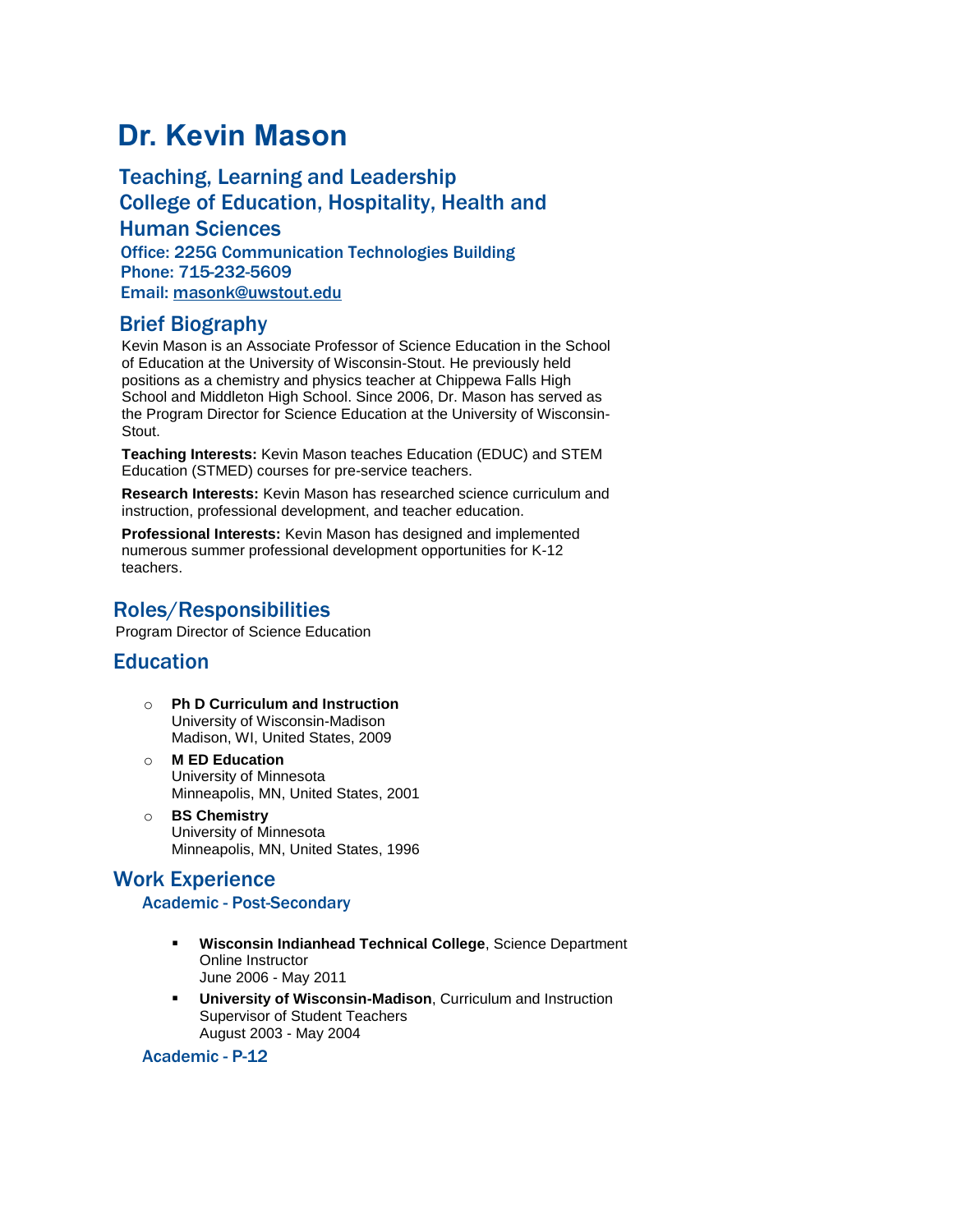# **Dr. Kevin Mason**

Teaching, Learning and Leadership College of Education, Hospitality, Health and Human Sciences Office: 225G Communication Technologies Building Phone: 715-232-5609 Email: [masonk@uwstout.edu](mailto:masonk@uwstout.edu)

### Brief Biography

Kevin Mason is an Associate Professor of Science Education in the School of Education at the University of Wisconsin-Stout. He previously held positions as a chemistry and physics teacher at Chippewa Falls High School and Middleton High School. Since 2006, Dr. Mason has served as the Program Director for Science Education at the University of Wisconsin-Stout.

**Teaching Interests:** Kevin Mason teaches Education (EDUC) and STEM Education (STMED) courses for pre-service teachers.

**Research Interests:** Kevin Mason has researched science curriculum and instruction, professional development, and teacher education.

**Professional Interests:** Kevin Mason has designed and implemented numerous summer professional development opportunities for K-12 teachers.

### Roles/Responsibilities

Program Director of Science Education

### **Education**

- o **Ph D Curriculum and Instruction** University of Wisconsin-Madison Madison, WI, United States, 2009
- o **M ED Education** University of Minnesota Minneapolis, MN, United States, 2001
- o **BS Chemistry** University of Minnesota Minneapolis, MN, United States, 1996

### Work Experience

### Academic - Post-Secondary

- **Wisconsin Indianhead Technical College**, Science Department Online Instructor June 2006 - May 2011
- **University of Wisconsin-Madison**, Curriculum and Instruction Supervisor of Student Teachers August 2003 - May 2004

### Academic - P-12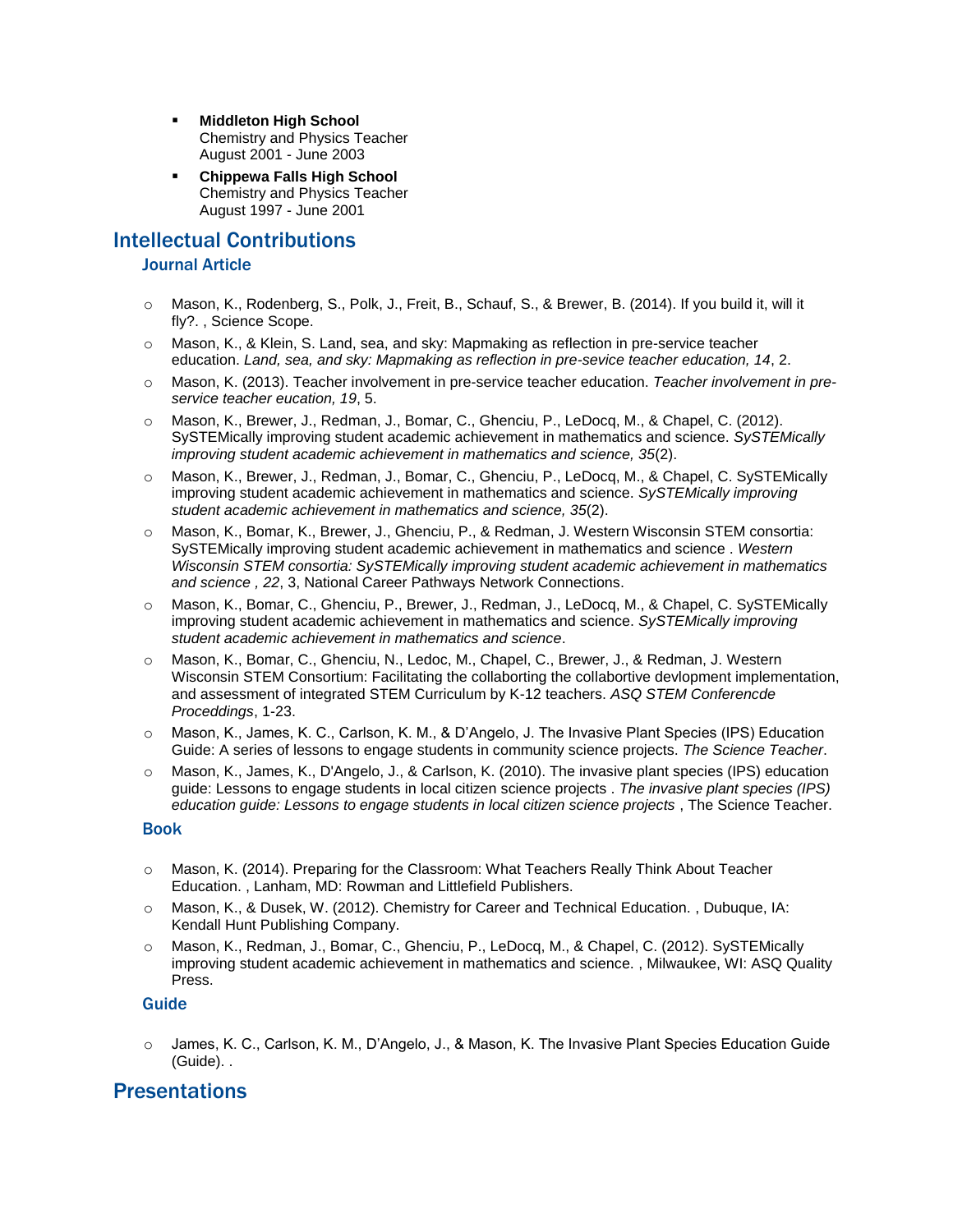- **Middleton High School** Chemistry and Physics Teacher August 2001 - June 2003
- **Chippewa Falls High School** Chemistry and Physics Teacher August 1997 - June 2001

## Intellectual Contributions

### Journal Article

- o Mason, K., Rodenberg, S., Polk, J., Freit, B., Schauf, S., & Brewer, B. (2014). If you build it, will it fly?. , Science Scope.
- o Mason, K., & Klein, S. Land, sea, and sky: Mapmaking as reflection in pre-service teacher education. *Land, sea, and sky: Mapmaking as reflection in pre-sevice teacher education, 14*, 2.
- o Mason, K. (2013). Teacher involvement in pre-service teacher education. *Teacher involvement in preservice teacher eucation, 19*, 5.
- o Mason, K., Brewer, J., Redman, J., Bomar, C., Ghenciu, P., LeDocq, M., & Chapel, C. (2012). SySTEMically improving student academic achievement in mathematics and science. *SySTEMically improving student academic achievement in mathematics and science, 35*(2).
- o Mason, K., Brewer, J., Redman, J., Bomar, C., Ghenciu, P., LeDocq, M., & Chapel, C. SySTEMically improving student academic achievement in mathematics and science. *SySTEMically improving student academic achievement in mathematics and science, 35*(2).
- o Mason, K., Bomar, K., Brewer, J., Ghenciu, P., & Redman, J. Western Wisconsin STEM consortia: SySTEMically improving student academic achievement in mathematics and science . *Western Wisconsin STEM consortia: SySTEMically improving student academic achievement in mathematics and science , 22*, 3, National Career Pathways Network Connections.
- o Mason, K., Bomar, C., Ghenciu, P., Brewer, J., Redman, J., LeDocq, M., & Chapel, C. SySTEMically improving student academic achievement in mathematics and science. *SySTEMically improving student academic achievement in mathematics and science*.
- Mason, K., Bomar, C., Ghenciu, N., Ledoc, M., Chapel, C., Brewer, J., & Redman, J. Western Wisconsin STEM Consortium: Facilitating the collaborting the collabortive devlopment implementation, and assessment of integrated STEM Curriculum by K-12 teachers. *ASQ STEM Conferencde Proceddings*, 1-23.
- o Mason, K., James, K. C., Carlson, K. M., & D'Angelo, J. The Invasive Plant Species (IPS) Education Guide: A series of lessons to engage students in community science projects. *The Science Teacher*.
- o Mason, K., James, K., D'Angelo, J., & Carlson, K. (2010). The invasive plant species (IPS) education guide: Lessons to engage students in local citizen science projects . *The invasive plant species (IPS) education guide: Lessons to engage students in local citizen science projects* , The Science Teacher.

#### Book

- o Mason, K. (2014). Preparing for the Classroom: What Teachers Really Think About Teacher Education. , Lanham, MD: Rowman and Littlefield Publishers.
- o Mason, K., & Dusek, W. (2012). Chemistry for Career and Technical Education. , Dubuque, IA: Kendall Hunt Publishing Company.
- o Mason, K., Redman, J., Bomar, C., Ghenciu, P., LeDocq, M., & Chapel, C. (2012). SySTEMically improving student academic achievement in mathematics and science. , Milwaukee, WI: ASQ Quality Press.

### Guide

o James, K. C., Carlson, K. M., D'Angelo, J., & Mason, K. The Invasive Plant Species Education Guide (Guide). .

### **Presentations**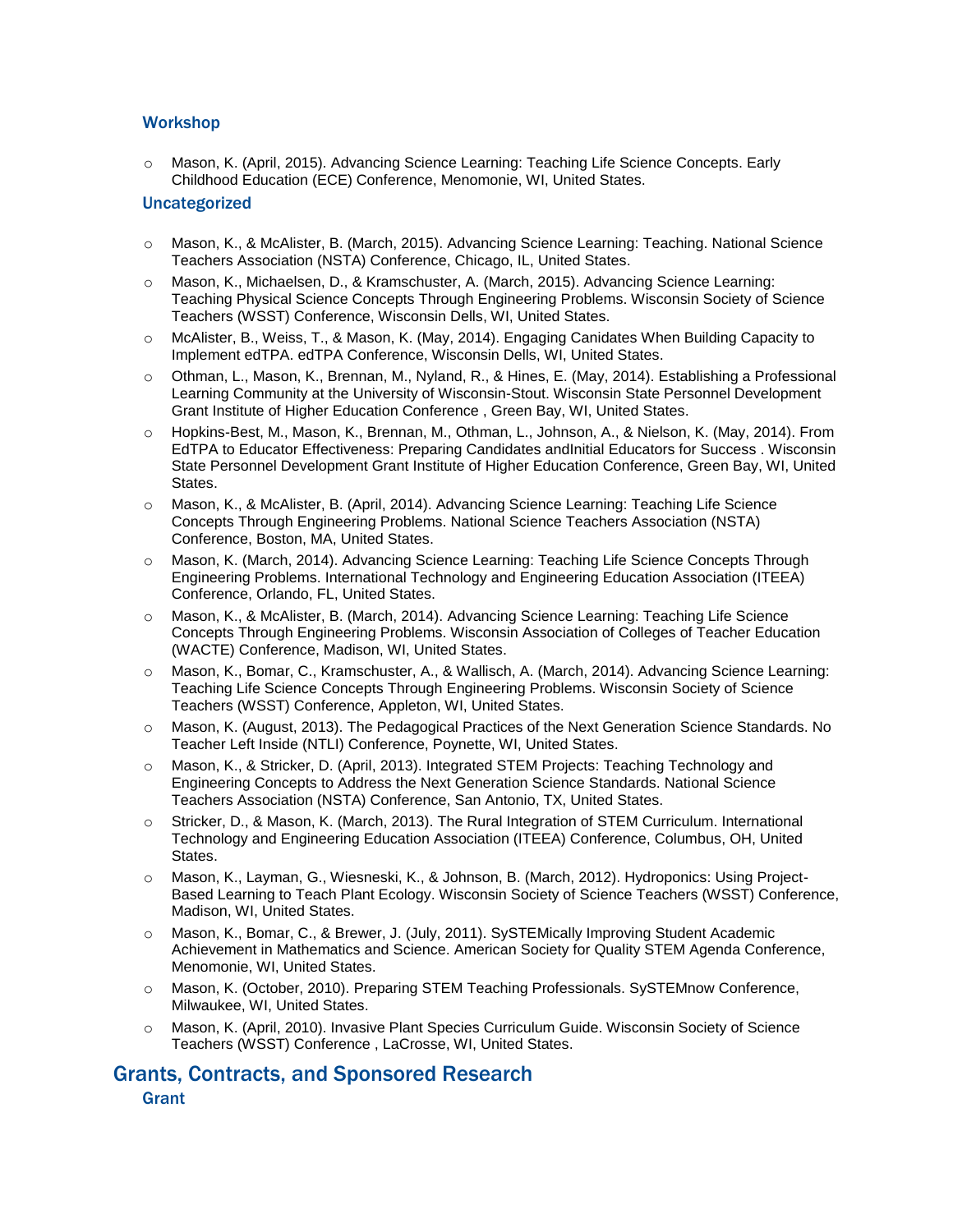### **Workshop**

o Mason, K. (April, 2015). Advancing Science Learning: Teaching Life Science Concepts. Early Childhood Education (ECE) Conference, Menomonie, WI, United States.

#### Uncategorized

- o Mason, K., & McAlister, B. (March, 2015). Advancing Science Learning: Teaching. National Science Teachers Association (NSTA) Conference, Chicago, IL, United States.
- o Mason, K., Michaelsen, D., & Kramschuster, A. (March, 2015). Advancing Science Learning: Teaching Physical Science Concepts Through Engineering Problems. Wisconsin Society of Science Teachers (WSST) Conference, Wisconsin Dells, WI, United States.
- o McAlister, B., Weiss, T., & Mason, K. (May, 2014). Engaging Canidates When Building Capacity to Implement edTPA. edTPA Conference, Wisconsin Dells, WI, United States.
- o Othman, L., Mason, K., Brennan, M., Nyland, R., & Hines, E. (May, 2014). Establishing a Professional Learning Community at the University of Wisconsin-Stout. Wisconsin State Personnel Development Grant Institute of Higher Education Conference , Green Bay, WI, United States.
- o Hopkins-Best, M., Mason, K., Brennan, M., Othman, L., Johnson, A., & Nielson, K. (May, 2014). From EdTPA to Educator Effectiveness: Preparing Candidates andInitial Educators for Success . Wisconsin State Personnel Development Grant Institute of Higher Education Conference, Green Bay, WI, United States.
- o Mason, K., & McAlister, B. (April, 2014). Advancing Science Learning: Teaching Life Science Concepts Through Engineering Problems. National Science Teachers Association (NSTA) Conference, Boston, MA, United States.
- o Mason, K. (March, 2014). Advancing Science Learning: Teaching Life Science Concepts Through Engineering Problems. International Technology and Engineering Education Association (ITEEA) Conference, Orlando, FL, United States.
- Mason, K., & McAlister, B. (March, 2014). Advancing Science Learning: Teaching Life Science Concepts Through Engineering Problems. Wisconsin Association of Colleges of Teacher Education (WACTE) Conference, Madison, WI, United States.
- o Mason, K., Bomar, C., Kramschuster, A., & Wallisch, A. (March, 2014). Advancing Science Learning: Teaching Life Science Concepts Through Engineering Problems. Wisconsin Society of Science Teachers (WSST) Conference, Appleton, WI, United States.
- o Mason, K. (August, 2013). The Pedagogical Practices of the Next Generation Science Standards. No Teacher Left Inside (NTLI) Conference, Poynette, WI, United States.
- o Mason, K., & Stricker, D. (April, 2013). Integrated STEM Projects: Teaching Technology and Engineering Concepts to Address the Next Generation Science Standards. National Science Teachers Association (NSTA) Conference, San Antonio, TX, United States.
- o Stricker, D., & Mason, K. (March, 2013). The Rural Integration of STEM Curriculum. International Technology and Engineering Education Association (ITEEA) Conference, Columbus, OH, United States.
- o Mason, K., Layman, G., Wiesneski, K., & Johnson, B. (March, 2012). Hydroponics: Using Project-Based Learning to Teach Plant Ecology. Wisconsin Society of Science Teachers (WSST) Conference, Madison, WI, United States.
- o Mason, K., Bomar, C., & Brewer, J. (July, 2011). SySTEMically Improving Student Academic Achievement in Mathematics and Science. American Society for Quality STEM Agenda Conference, Menomonie, WI, United States.
- o Mason, K. (October, 2010). Preparing STEM Teaching Professionals. SySTEMnow Conference, Milwaukee, WI, United States.
- o Mason, K. (April, 2010). Invasive Plant Species Curriculum Guide. Wisconsin Society of Science Teachers (WSST) Conference , LaCrosse, WI, United States.

### Grants, Contracts, and Sponsored Research **Grant**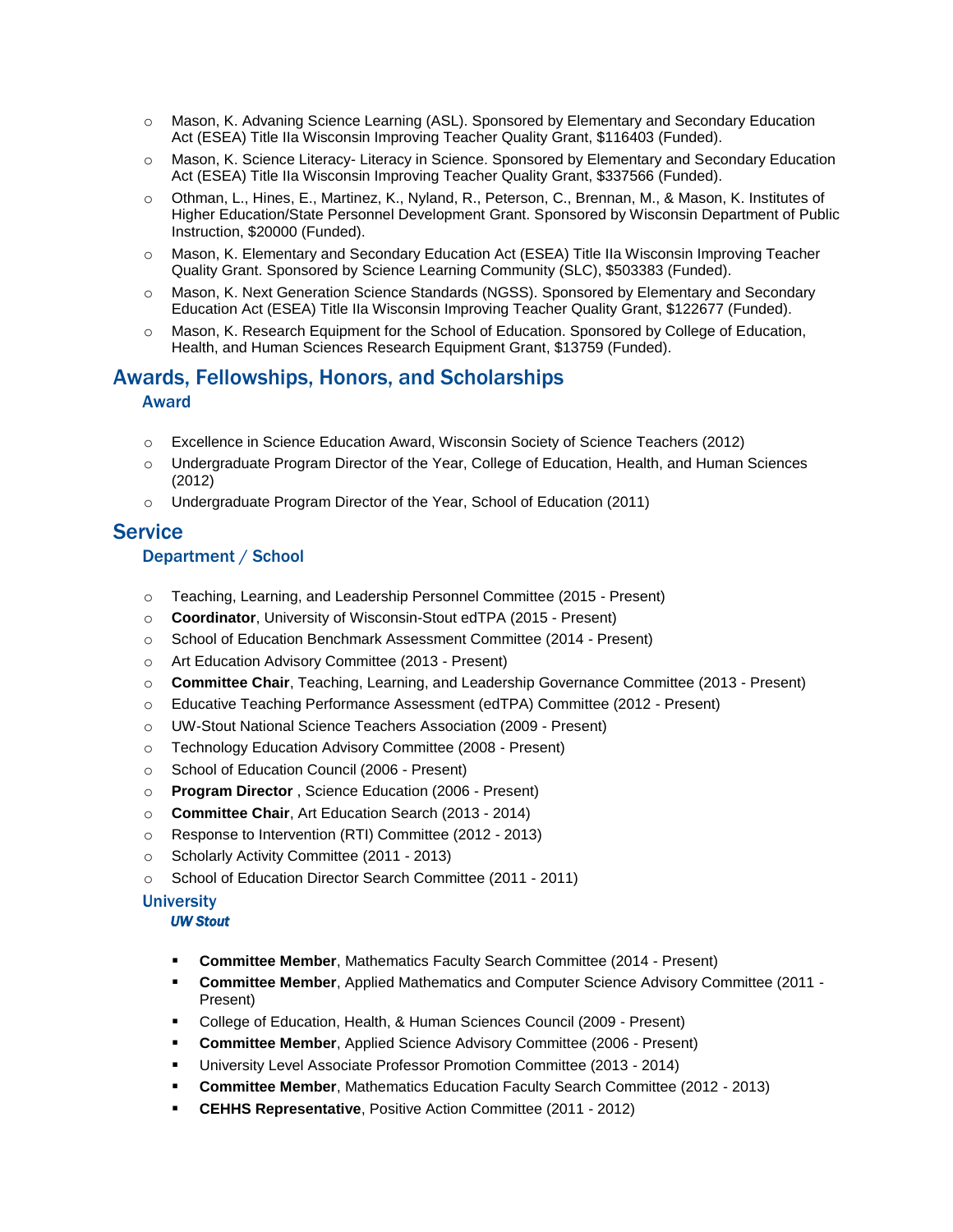- o Mason, K. Advaning Science Learning (ASL). Sponsored by Elementary and Secondary Education Act (ESEA) Title IIa Wisconsin Improving Teacher Quality Grant, \$116403 (Funded).
- o Mason, K. Science Literacy- Literacy in Science. Sponsored by Elementary and Secondary Education Act (ESEA) Title IIa Wisconsin Improving Teacher Quality Grant, \$337566 (Funded).
- o Othman, L., Hines, E., Martinez, K., Nyland, R., Peterson, C., Brennan, M., & Mason, K. Institutes of Higher Education/State Personnel Development Grant. Sponsored by Wisconsin Department of Public Instruction, \$20000 (Funded).
- o Mason, K. Elementary and Secondary Education Act (ESEA) Title IIa Wisconsin Improving Teacher Quality Grant. Sponsored by Science Learning Community (SLC), \$503383 (Funded).
- o Mason, K. Next Generation Science Standards (NGSS). Sponsored by Elementary and Secondary Education Act (ESEA) Title IIa Wisconsin Improving Teacher Quality Grant, \$122677 (Funded).
- o Mason, K. Research Equipment for the School of Education. Sponsored by College of Education, Health, and Human Sciences Research Equipment Grant, \$13759 (Funded).

### Awards, Fellowships, Honors, and Scholarships Award

- o Excellence in Science Education Award, Wisconsin Society of Science Teachers (2012)
- o Undergraduate Program Director of the Year, College of Education, Health, and Human Sciences (2012)
- o Undergraduate Program Director of the Year, School of Education (2011)

### **Service**

### Department / School

- o Teaching, Learning, and Leadership Personnel Committee (2015 Present)
- o **Coordinator**, University of Wisconsin-Stout edTPA (2015 Present)
- o School of Education Benchmark Assessment Committee (2014 Present)
- o Art Education Advisory Committee (2013 Present)
- o **Committee Chair**, Teaching, Learning, and Leadership Governance Committee (2013 Present)
- o Educative Teaching Performance Assessment (edTPA) Committee (2012 Present)
- o UW-Stout National Science Teachers Association (2009 Present)
- o Technology Education Advisory Committee (2008 Present)
- o School of Education Council (2006 Present)
- o **Program Director** , Science Education (2006 Present)
- o **Committee Chair**, Art Education Search (2013 2014)
- o Response to Intervention (RTI) Committee (2012 2013)
- o Scholarly Activity Committee (2011 2013)
- o School of Education Director Search Committee (2011 2011)

### **University**

#### *UW Stout*

- **Committee Member**, Mathematics Faculty Search Committee (2014 Present)
- **Committee Member**, Applied Mathematics and Computer Science Advisory Committee (2011 Present)
- College of Education, Health, & Human Sciences Council (2009 Present)
- **Committee Member, Applied Science Advisory Committee (2006 Present)**
- University Level Associate Professor Promotion Committee (2013 2014)
- **Committee Member**, Mathematics Education Faculty Search Committee (2012 2013)
- **CEHHS Representative, Positive Action Committee (2011 2012)**